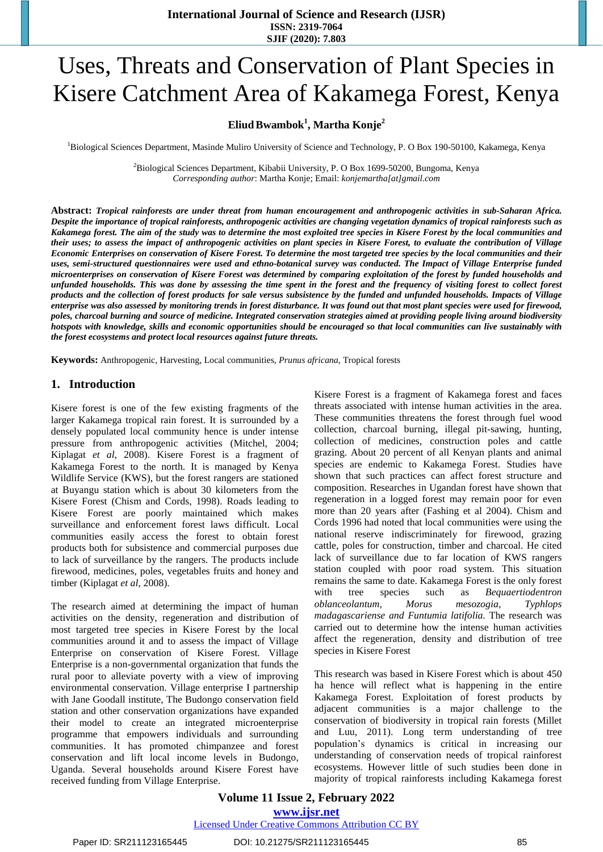# Uses, Threats and Conservation of Plant Species in Kisere Catchment Area of Kakamega Forest, Kenya

## **EliudBwambok<sup>1</sup> , Martha Konje<sup>2</sup>**

<sup>1</sup>Biological Sciences Department, Masinde Muliro University of Science and Technology, P. O Box 190-50100, Kakamega, Kenya

<sup>2</sup>Biological Sciences Department, Kibabii University, P. O Box 1699-50200, Bungoma, Kenya *Corresponding author*: Martha Konje; Email: *[konjemartha\[at\]gmail.com](mailto:konjemartha@gmail.com)*

Abstract: Tropical rainforests are under threat from human encouragement and anthropogenic activities in sub-Saharan Africa. Despite the importance of tropical rainforests, anthropogenic activities are changing vegetation dynamics of tropical rainforests such as Kakamega forest. The aim of the study was to determine the most exploited tree species in Kisere Forest by the local communities and their uses; to assess the impact of anthropogenic activities on plant species in Kisere Forest, to evaluate the contribution of Village Economic Enterprises on conservation of Kisere Forest. To determine the most targeted tree species by the local communities and their uses, semi-structured questionnaires were used and ethno-botanical survey was conducted. The Impact of Village Enterprise funded microenterprises on conservation of Kisere Forest was determined by comparing exploitation of the forest by funded households and unfunded households. This was done by assessing the time spent in the forest and the frequency of visiting forest to collect forest products and the collection of forest products for sale versus subsistence by the funded and unfunded households. Impacts of Village enterprise was also assessed by monitoring trends in forest disturbance. It was found out that most plant species were used for firewood, poles, charcoal burning and source of medicine. Integrated conservation strategies aimed at providing people living around biodiversity hotspots with knowledge, skills and economic opportunities should be encouraged so that local communities can live sustainably with *the forest ecosystems and protect local resources against future threats.* 

**Keywords:** Anthropogenic, Harvesting, Local communities, *Prunus africana,* Tropical forests

#### **1. Introduction**

Kisere forest is one of the few existing fragments of the larger Kakamega tropical rain forest. It is surrounded by a densely populated local community hence is under intense pressure from anthropogenic activities (Mitchel, 2004; Kiplagat *et al*, 2008). Kisere Forest is a fragment of Kakamega Forest to the north. It is managed by Kenya Wildlife Service (KWS), but the forest rangers are stationed at Buyangu station which is about 30 kilometers from the Kisere Forest (Chism and Cords, 1998). Roads leading to Kisere Forest are poorly maintained which makes surveillance and enforcement forest laws difficult. Local communities easily access the forest to obtain forest products both for subsistence and commercial purposes due to lack of surveillance by the rangers. The products include firewood, medicines, poles, vegetables fruits and honey and timber (Kiplagat *et al*, 2008).

The research aimed at determining the impact of human activities on the density, regeneration and distribution of most targeted tree species in Kisere Forest by the local communities around it and to assess the impact of Village Enterprise on conservation of Kisere Forest. Village Enterprise is a non-governmental organization that funds the rural poor to alleviate poverty with a view of improving environmental conservation. Village enterprise I partnership with Jane Goodall institute, The Budongo conservation field station and other conservation organizations have expanded their model to create an integrated microenterprise programme that empowers individuals and surrounding communities. It has promoted chimpanzee and forest conservation and lift local income levels in Budongo, Uganda. Several households around Kisere Forest have received funding from Village Enterprise.

Kisere Forest is a fragment of Kakamega forest and faces threats associated with intense human activities in the area. These communities threatens the forest through fuel wood collection, charcoal burning, illegal pit-sawing, hunting, collection of medicines, construction poles and cattle grazing. About 20 percent of all Kenyan plants and animal species are endemic to Kakamega Forest. Studies have shown that such practices can affect forest structure and composition. Researches in Ugandan forest have shown that regeneration in a logged forest may remain poor for even more than 20 years after (Fashing et al 2004). Chism and Cords 1996 had noted that local communities were using the national reserve indiscriminately for firewood, grazing cattle, poles for construction, timber and charcoal. He cited lack of surveillance due to far location of KWS rangers station coupled with poor road system. This situation remains the same to date. Kakamega Forest is the only forest with tree species such as *Bequaertiodentron oblanceolantum, Morus mesozogia*, *Typhlops madagascariense and Funtumia latifolia.* The research was carried out to determine how the intense human activities affect the regeneration, density and distribution of tree species in Kisere Forest

This research was based in Kisere Forest which is about 450 ha hence will reflect what is happening in the entire Kakamega Forest. Exploitation of forest products by adjacent communities is a major challenge to the conservation of biodiversity in tropical rain forests (Millet and Luu, 2011). Long term understanding of tree population's dynamics is critical in increasing our understanding of conservation needs of tropical rainforest ecosystems. However little of such studies been done in majority of tropical rainforests including Kakamega forest

## **Volume 11 Issue 2, February 2022 www.ijsr.net**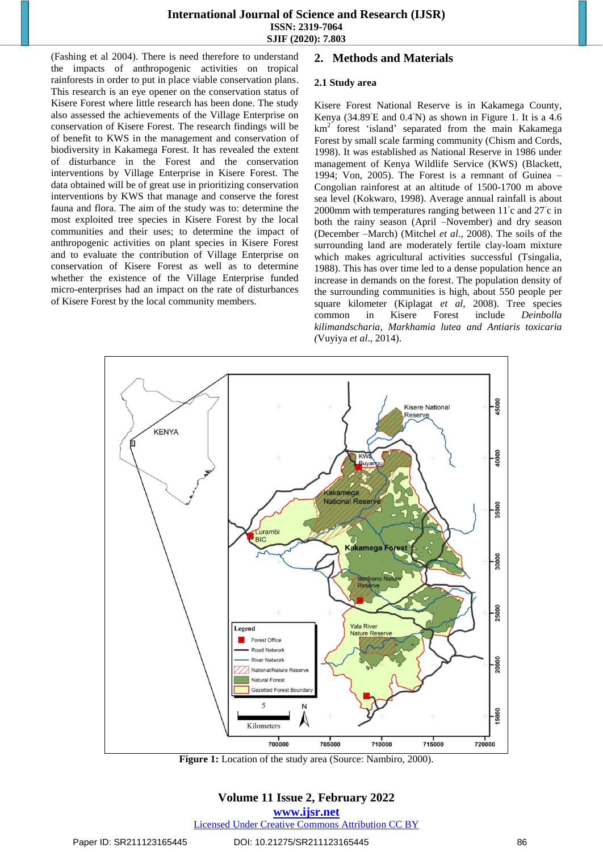(Fashing et al 2004). There is need therefore to understand the impacts of anthropogenic activities on tropical rainforests in order to put in place viable conservation plans. This research is an eye opener on the conservation status of Kisere Forest where little research has been done. The study also assessed the achievements of the Village Enterprise on conservation of Kisere Forest. The research findings will be of benefit to KWS in the management and conservation of biodiversity in Kakamega Forest. It has revealed the extent of disturbance in the Forest and the conservation interventions by Village Enterprise in Kisere Forest. The data obtained will be of great use in prioritizing conservation interventions by KWS that manage and conserve the forest fauna and flora. The aim of the study was to: determine the most exploited tree species in Kisere Forest by the local communities and their uses; to determine the impact of anthropogenic activities on plant species in Kisere Forest and to evaluate the contribution of Village Enterprise on conservation of Kisere Forest as well as to determine whether the existence of the Village Enterprise funded micro-enterprises had an impact on the rate of disturbances of Kisere Forest by the local community members.

## **2. Methods and Materials**

#### **2.1 Study area**

Kisere Forest National Reserve is in Kakamega County, Kenya (34.89°E and 0.4°N) as shown in Figure 1. It is a 4.6 km<sup>2</sup> forest 'island' separated from the main Kakamega Forest by small scale farming community (Chism and Cords, 1998). It was established as National Reserve in 1986 under management of Kenya Wildlife Service (KWS) (Blackett, 1994; Von, 2005). The Forest is a remnant of Guinea – Congolian rainforest at an altitude of 1500-1700 m above sea level (Kokwaro, 1998). Average annual rainfall is about 2000mm with temperatures ranging between 11°c and 27°c in both the rainy season (April –November) and dry season (December –March) (Mitchel *et al*., 2008). The soils of the surrounding land are moderately fertile clay-loam mixture which makes agricultural activities successful (Tsingalia, 1988). This has over time led to a dense population hence an increase in demands on the forest. The population density of the surrounding communities is high, about 550 people per square kilometer (Kiplagat *et al*, 2008). Tree species common in Kisere Forest include *Deinbolla kilimandscharia, Markhamia lutea and Antiaris toxicaria (*Vuyiya *et al*., 2014).



**Figure 1:** Location of the study area (Source: Nambiro, 2000).

## **Volume 11 Issue 2, February 2022**

**www.ijsr.net**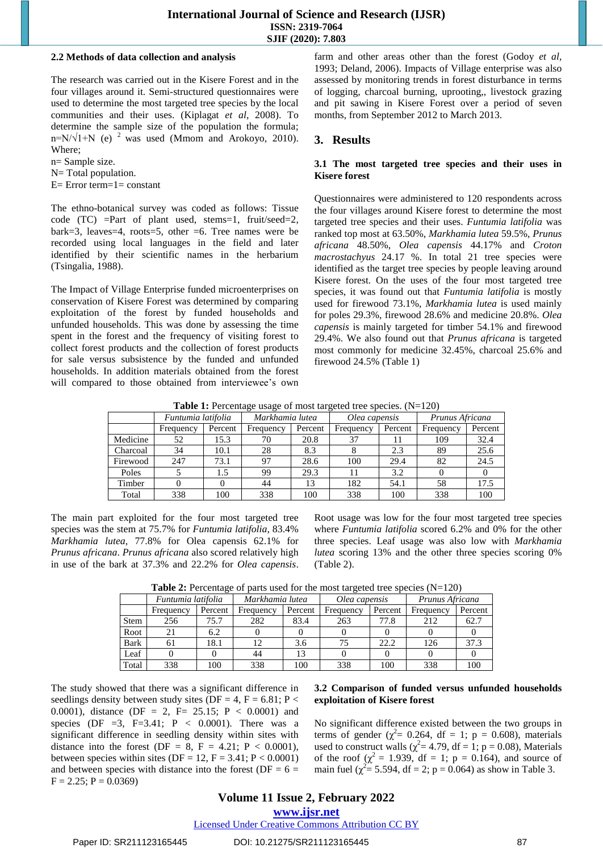#### **2.2 Methods of data collection and analysis**

The research was carried out in the Kisere Forest and in the four villages around it. Semi-structured questionnaires were used to determine the most targeted tree species by the local communities and their uses. (Kiplagat *et al*, 2008). To determine the sample size of the population the formula; n=N/ $\sqrt{1+N}$  (e) <sup>2</sup> was used (Mmom and Arokoyo, 2010). Where;

n= Sample size.

N= Total population.

 $E=$  Error term= $1=$  constant

The ethno-botanical survey was coded as follows: Tissue code (TC) =Part of plant used, stems=1, fruit/seed=2, bark=3, leaves=4, roots=5, other =6. Tree names were be recorded using local languages in the field and later identified by their scientific names in the herbarium (Tsingalia, 1988).

The Impact of Village Enterprise funded microenterprises on conservation of Kisere Forest was determined by comparing exploitation of the forest by funded households and unfunded households. This was done by assessing the time spent in the forest and the frequency of visiting forest to collect forest products and the collection of forest products for sale versus subsistence by the funded and unfunded households. In addition materials obtained from the forest will compared to those obtained from interviewee's own farm and other areas other than the forest (Godoy *et al*, 1993; Deland, 2006). Impacts of Village enterprise was also assessed by monitoring trends in forest disturbance in terms of logging, charcoal burning, uprooting,, livestock grazing and pit sawing in Kisere Forest over a period of seven months, from September 2012 to March 2013.

#### **3. Results**

#### **3.1 The most targeted tree species and their uses in Kisere forest**

Questionnaires were administered to 120 respondents across the four villages around Kisere forest to determine the most targeted tree species and their uses. *Funtumia latifolia* was ranked top most at 63.50%, *Markhamia lutea* 59.5%, *Prunus africana* 48.50%, *Olea capensis* 44.17% and *Croton macrostachyus* 24.17 %. In total 21 tree species were identified as the target tree species by people leaving around Kisere forest. On the uses of the four most targeted tree species, it was found out that *Funtumia latifolia* is mostly used for firewood 73.1%, *Markhamia lutea* is used mainly for poles 29.3%, firewood 28.6% and medicine 20.8%. *Olea capensis* is mainly targeted for timber 54.1% and firewood 29.4%. We also found out that *Prunus africana* is targeted most commonly for medicine 32.45%, charcoal 25.6% and firewood 24.5% (Table 1)

**Table 1:** Percentage usage of most targeted tree species. (N=120)

|          | Funtumia latifolia |         | Markhamia lutea |         | Olea capensis |         | Prunus Africana |         |
|----------|--------------------|---------|-----------------|---------|---------------|---------|-----------------|---------|
|          | Frequency          | Percent | Frequency       | Percent | Frequency     | Percent | Frequency       | Percent |
| Medicine | 52                 | 15.3    | 70              | 20.8    | 37            |         | 109             | 32.4    |
| Charcoal | 34                 | 10.1    | 28              | 8.3     |               | 2.3     | 89              | 25.6    |
| Firewood | 247                | 73.1    | 97              | 28.6    | 100           | 29.4    | 82              | 24.5    |
| Poles    |                    | 1.5     | 99              | 29.3    | 11            | 3.2     |                 |         |
| Timber   |                    |         | 44              | 13      | 182           | 54.1    | 58              | 17.5    |
| Total    | 338                | 100     | 338             | 100     | 338           | 100     | 338             | 100     |

The main part exploited for the four most targeted tree species was the stem at 75.7% for *Funtumia latifolia*, 83.4% *Markhamia lutea*, 77.8% for Olea capensis 62.1% for *Prunus africana*. *Prunus africana* also scored relatively high in use of the bark at 37.3% and 22.2% for *Olea capensis*.

Root usage was low for the four most targeted tree species where *Funtumia latifolia* scored 6.2% and 0% for the other three species. Leaf usage was also low with *Markhamia lutea* scoring 13% and the other three species scoring 0% (Table 2).

|             | Funtumia latifolia |         | Markhamia lutea |         | Olea capensis |         | Prunus Africana |         |
|-------------|--------------------|---------|-----------------|---------|---------------|---------|-----------------|---------|
|             | Frequency          | Percent | Frequency       | Percent | Frequency     | Percent | Frequency       | Percent |
| Stem        | 256                | 75.7    | 282             | 83.4    | 263           | 77.8    | 212             | 62.7    |
| Root        | 21                 | 6.2     |                 |         |               |         |                 |         |
| <b>Bark</b> | 61                 | 18.1    |                 | 3.6     |               | 22.2    | 126             | 37.3    |
| Leaf        |                    |         | 44              | 13      |               |         |                 |         |
| Total       | 338                | 100     | 338             | 100     | 338           | 100     | 338             | 100     |

**Table 2:** Percentage of parts used for the most targeted tree species (N=120)

The study showed that there was a significant difference in seedlings density between study sites (DF = 4, F = 6.81; P < 0.0001), distance (DF = 2, F= 25.15; P < 0.0001) and species (DF  $=3$ , F=3.41; P < 0.0001). There was a significant difference in seedling density within sites with distance into the forest (DF = 8, F = 4.21; P < 0.0001), between species within sites (DF = 12, F = 3.41; P < 0.0001) and between species with distance into the forest ( $DF = 6 =$  $F = 2.25$ ;  $P = 0.0369$ )

#### **3.2 Comparison of funded versus unfunded households exploitation of Kisere forest**

No significant difference existed between the two groups in terms of gender ( $\chi^2$  = 0.264, df = 1; p = 0.608), materials used to construct walls ( $\chi^2$  = 4.79, df = 1; p = 0.08), Materials of the roof  $(\chi^2 = 1.939, df = 1; p = 0.164)$ , and source of main fuel ( $\chi^2 = 5.594$ , df = 2; p = 0.064) as show in Table 3.

**www.ijsr.net**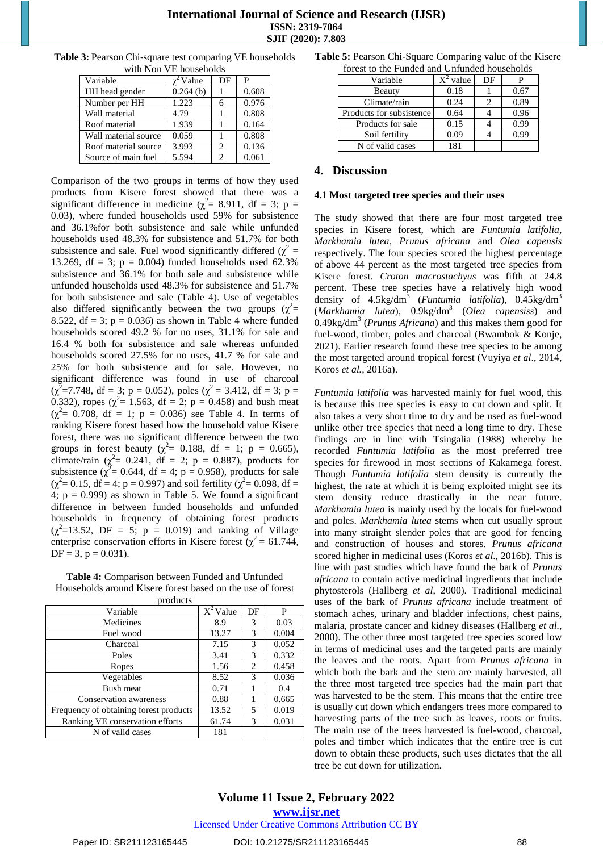| <b>Table 3:</b> Pearson Chi-square test comparing VE households |
|-----------------------------------------------------------------|
| with Non VE households                                          |

| Variable             | <sup>2</sup> Value | DF | P     |
|----------------------|--------------------|----|-------|
| HH head gender       | $0.264$ (b)        |    | 0.608 |
| Number per HH        | 1.223              | 6  | 0.976 |
| Wall material        | 4.79               |    | 0.808 |
| Roof material        | 1.939              |    | 0.164 |
| Wall material source | 0.059              |    | 0.808 |
| Roof material source | 3.993              | 2  | 0.136 |
| Source of main fuel  | 5.594              |    | 0.061 |

Comparison of the two groups in terms of how they used products from Kisere forest showed that there was a significant difference in medicine ( $\chi^2$  = 8.911, df = 3; p = 0.03), where funded households used 59% for subsistence and 36.1%for both subsistence and sale while unfunded households used 48.3% for subsistence and 51.7% for both subsistence and sale. Fuel wood significantly differed  $(\chi^2 =$ 13.269, df = 3;  $p = 0.004$ ) funded households used 62.3% subsistence and 36.1% for both sale and subsistence while unfunded households used 48.3% for subsistence and 51.7% for both subsistence and sale (Table 4). Use of vegetables also differed significantly between the two groups  $(\chi^2$ 8.522, df = 3;  $p = 0.036$ ) as shown in Table 4 where funded households scored 49.2 % for no uses, 31.1% for sale and 16.4 % both for subsistence and sale whereas unfunded households scored 27.5% for no uses, 41.7 % for sale and 25% for both subsistence and for sale. However, no significant difference was found in use of charcoal  $(\chi^2 = 7.748, df = 3; p = 0.052)$ , poles  $(\chi^2 = 3.412, df = 3; p = 0.052)$ 0.332), ropes ( $\chi^2$ = 1.563, df = 2; p = 0.458) and bush meat  $(\chi^2 = 0.708, df = 1; p = 0.036)$  see Table 4. In terms of ranking Kisere forest based how the household value Kisere forest, there was no significant difference between the two groups in forest beauty ( $\chi^2$  = 0.188, df = 1; p = 0.665), climate/rain ( $\chi^2$  = 0.241, df = 2; p = 0.887), products for subsistence ( $\chi^2$  = 0.644, df = 4; p = 0.958), products for sale  $(\chi^2 = 0.15, df = 4; p = 0.997)$  and soil fertility  $(\chi^2 = 0.098, df =$ 4;  $p = 0.999$ ) as shown in Table 5. We found a significant difference in between funded households and unfunded households in frequency of obtaining forest products  $(\chi^2=13.52, \text{ DF} = 5; \text{ p} = 0.019)$  and ranking of Village enterprise conservation efforts in Kisere forest ( $\chi^2$  = 61.744,  $DF = 3$ ,  $p = 0.031$ ).

| <b>Table 4:</b> Comparison between Funded and Unfunded     |
|------------------------------------------------------------|
| Households around Kisere forest based on the use of forest |
| products                                                   |

| Variable                               | $\overline{X}{}^2$ Value | DF | P     |
|----------------------------------------|--------------------------|----|-------|
| Medicines                              | 8.9                      | 3  | 0.03  |
| Fuel wood                              | 13.27                    | 3  | 0.004 |
| Charcoal                               | 7.15                     | 3  | 0.052 |
| Poles                                  | 3.41                     | 3  | 0.332 |
| Ropes                                  | 1.56                     | 2  | 0.458 |
| Vegetables                             | 8.52                     | 3  | 0.036 |
| Bush meat                              | 0.71                     |    | 0.4   |
| Conservation awareness                 | 0.88                     |    | 0.665 |
| Frequency of obtaining forest products | 13.52                    | 5  | 0.019 |
| Ranking VE conservation efforts        | 61.74                    | 3  | 0.031 |
| N of valid cases                       | 181                      |    |       |

**Table 5:** Pearson Chi-Square Comparing value of the Kisere forest to the Funded and Unfunded households

| forest to the Funded and Unitinded nouseholds |             |    |      |  |  |
|-----------------------------------------------|-------------|----|------|--|--|
| Variable                                      | $X^2$ value | DF | P    |  |  |
| <b>Beauty</b>                                 | 0.18        |    | 0.67 |  |  |
| Climate/rain                                  | 0.24        | 2  | 0.89 |  |  |
| Products for subsistence                      | 0.64        |    | 0.96 |  |  |
| Products for sale                             | 0.15        |    | 0.99 |  |  |
| Soil fertility                                | 0.09        |    | 0.99 |  |  |
| N of valid cases                              | 181         |    |      |  |  |

## **4. Discussion**

#### **4.1 Most targeted tree species and their uses**

The study showed that there are four most targeted tree species in Kisere forest, which are *Funtumia latifolia*, *Markhamia lutea, Prunus africana* and *Olea capensis* respectively. The four species scored the highest percentage of above 44 percent as the most targeted tree species from Kisere forest. *Croton macrostachyus* was fifth at 24.8 percent. These tree species have a relatively high wood density of 4.5kg/dm<sup>3</sup> (*Funtumia latifolia*), 0.45kg/dm<sup>3</sup> (*Markhamia lutea*), 0.9kg/dm<sup>3</sup> (*Olea capensiss*) and 0.49kg/dm<sup>3</sup> (*Prunus Africana*) and this makes them good for fuel-wood, timber, poles and charcoal (Bwambok & Konje, 2021). Earlier research found these tree species to be among the most targeted around tropical forest (Vuyiya *et al*., 2014, Koros *et al.,* 2016a).

*Funtumia latifolia* was harvested mainly for fuel wood, this is because this tree species is easy to cut down and split. It also takes a very short time to dry and be used as fuel-wood unlike other tree species that need a long time to dry. These findings are in line with Tsingalia (1988) whereby he recorded *Funtumia latifolia* as the most preferred tree species for firewood in most sections of Kakamega forest. Though *Funtumia latifolia* stem density is currently the highest, the rate at which it is being exploited might see its stem density reduce drastically in the near future. *Markhamia lutea* is mainly used by the locals for fuel-wood and poles. *Markhamia lutea* stems when cut usually sprout into many straight slender poles that are good for fencing and construction of houses and stores. *Prunus africana* scored higher in medicinal uses (Koros *et al*., 2016b). This is line with past studies which have found the bark of *Prunus africana* to contain active medicinal ingredients that include phytosterols (Hallberg *et al*, 2000). Traditional medicinal uses of the bark of *Prunus africana* include treatment of stomach aches, urinary and bladder infections, chest pains, malaria, prostate cancer and kidney diseases (Hallberg *et al.,*  2000). The other three most targeted tree species scored low in terms of medicinal uses and the targeted parts are mainly the leaves and the roots. Apart from *Prunus africana* in which both the bark and the stem are mainly harvested, all the three most targeted tree species had the main part that was harvested to be the stem. This means that the entire tree is usually cut down which endangers trees more compared to harvesting parts of the tree such as leaves, roots or fruits. The main use of the trees harvested is fuel-wood, charcoal, poles and timber which indicates that the entire tree is cut down to obtain these products, such uses dictates that the all tree be cut down for utilization.

**Volume 11 Issue 2, February 2022 www.ijsr.net**

Licensed Under Creative Commons Attribution CC BY

#### Paper ID: SR211123165445 DOI: 10.21275/SR211123165445 88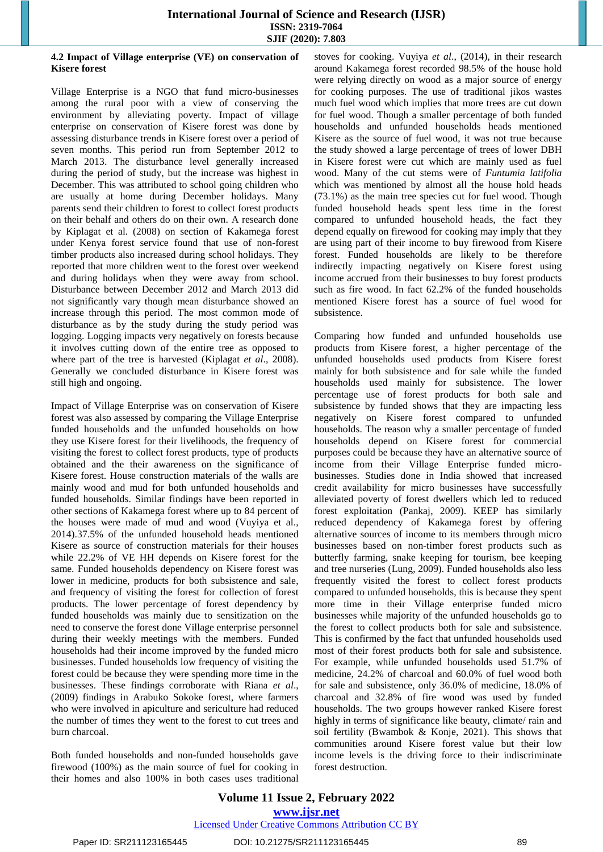#### **4.2 Impact of Village enterprise (VE) on conservation of Kisere forest**

Village Enterprise is a NGO that fund micro-businesses among the rural poor with a view of conserving the environment by alleviating poverty. Impact of village enterprise on conservation of Kisere forest was done by assessing disturbance trends in Kisere forest over a period of seven months. This period run from September 2012 to March 2013. The disturbance level generally increased during the period of study, but the increase was highest in December. This was attributed to school going children who are usually at home during December holidays. Many parents send their children to forest to collect forest products on their behalf and others do on their own. A research done by Kiplagat et al. (2008) on section of Kakamega forest under Kenya forest service found that use of non-forest timber products also increased during school holidays. They reported that more children went to the forest over weekend and during holidays when they were away from school. Disturbance between December 2012 and March 2013 did not significantly vary though mean disturbance showed an increase through this period. The most common mode of disturbance as by the study during the study period was logging. Logging impacts very negatively on forests because it involves cutting down of the entire tree as opposed to where part of the tree is harvested (Kiplagat *et al*., 2008). Generally we concluded disturbance in Kisere forest was still high and ongoing.

Impact of Village Enterprise was on conservation of Kisere forest was also assessed by comparing the Village Enterprise funded households and the unfunded households on how they use Kisere forest for their livelihoods, the frequency of visiting the forest to collect forest products, type of products obtained and the their awareness on the significance of Kisere forest. House construction materials of the walls are mainly wood and mud for both unfunded households and funded households. Similar findings have been reported in other sections of Kakamega forest where up to 84 percent of the houses were made of mud and wood (Vuyiya et al., 2014).37.5% of the unfunded household heads mentioned Kisere as source of construction materials for their houses while 22.2% of VE HH depends on Kisere forest for the same. Funded households dependency on Kisere forest was lower in medicine, products for both subsistence and sale, and frequency of visiting the forest for collection of forest products. The lower percentage of forest dependency by funded households was mainly due to sensitization on the need to conserve the forest done Village enterprise personnel during their weekly meetings with the members. Funded households had their income improved by the funded micro businesses. Funded households low frequency of visiting the forest could be because they were spending more time in the businesses. These findings corroborate with Riana *et al*., (2009) findings in Arabuko Sokoke forest, where farmers who were involved in apiculture and sericulture had reduced the number of times they went to the forest to cut trees and burn charcoal.

Both funded households and non-funded households gave firewood (100%) as the main source of fuel for cooking in their homes and also 100% in both cases uses traditional stoves for cooking. Vuyiya *et al*., (2014), in their research around Kakamega forest recorded 98.5% of the house hold were relying directly on wood as a major source of energy for cooking purposes. The use of traditional jikos wastes much fuel wood which implies that more trees are cut down for fuel wood. Though a smaller percentage of both funded households and unfunded households heads mentioned Kisere as the source of fuel wood, it was not true because the study showed a large percentage of trees of lower DBH in Kisere forest were cut which are mainly used as fuel wood. Many of the cut stems were of *Funtumia latifolia* which was mentioned by almost all the house hold heads (73.1%) as the main tree species cut for fuel wood. Though funded household heads spent less time in the forest compared to unfunded household heads, the fact they depend equally on firewood for cooking may imply that they are using part of their income to buy firewood from Kisere forest. Funded households are likely to be therefore indirectly impacting negatively on Kisere forest using income accrued from their businesses to buy forest products such as fire wood. In fact 62.2% of the funded households mentioned Kisere forest has a source of fuel wood for subsistence.

Comparing how funded and unfunded households use products from Kisere forest, a higher percentage of the unfunded households used products from Kisere forest mainly for both subsistence and for sale while the funded households used mainly for subsistence. The lower percentage use of forest products for both sale and subsistence by funded shows that they are impacting less negatively on Kisere forest compared to unfunded households. The reason why a smaller percentage of funded households depend on Kisere forest for commercial purposes could be because they have an alternative source of income from their Village Enterprise funded microbusinesses. Studies done in India showed that increased credit availability for micro businesses have successfully alleviated poverty of forest dwellers which led to reduced forest exploitation (Pankaj, 2009). KEEP has similarly reduced dependency of Kakamega forest by offering alternative sources of income to its members through micro businesses based on non-timber forest products such as butterfly farming, snake keeping for tourism, bee keeping and tree nurseries (Lung, 2009). Funded households also less frequently visited the forest to collect forest products compared to unfunded households, this is because they spent more time in their Village enterprise funded micro businesses while majority of the unfunded households go to the forest to collect products both for sale and subsistence. This is confirmed by the fact that unfunded households used most of their forest products both for sale and subsistence. For example, while unfunded households used 51.7% of medicine, 24.2% of charcoal and 60.0% of fuel wood both for sale and subsistence, only 36.0% of medicine, 18.0% of charcoal and 32.8% of fire wood was used by funded households. The two groups however ranked Kisere forest highly in terms of significance like beauty, climate/ rain and soil fertility (Bwambok & Konje, 2021). This shows that communities around Kisere forest value but their low income levels is the driving force to their indiscriminate forest destruction.

**Volume 11 Issue 2, February 2022 www.ijsr.net** Licensed Under Creative Commons Attribution CC BY

Paper ID: SR211123165445 DOI: 10.21275/SR211123165445 89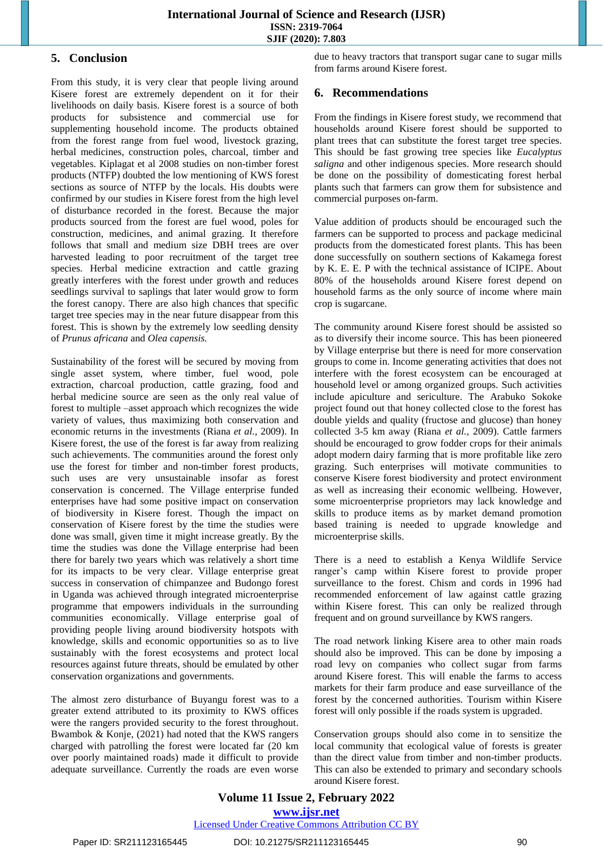## **5. Conclusion**

From this study, it is very clear that people living around Kisere forest are extremely dependent on it for their livelihoods on daily basis. Kisere forest is a source of both products for subsistence and commercial use for supplementing household income. The products obtained from the forest range from fuel wood, livestock grazing, herbal medicines, construction poles, charcoal, timber and vegetables. Kiplagat et al 2008 studies on non-timber forest products (NTFP) doubted the low mentioning of KWS forest sections as source of NTFP by the locals. His doubts were confirmed by our studies in Kisere forest from the high level of disturbance recorded in the forest. Because the major products sourced from the forest are fuel wood, poles for construction, medicines, and animal grazing. It therefore follows that small and medium size DBH trees are over harvested leading to poor recruitment of the target tree species. Herbal medicine extraction and cattle grazing greatly interferes with the forest under growth and reduces seedlings survival to saplings that later would grow to form the forest canopy. There are also high chances that specific target tree species may in the near future disappear from this forest. This is shown by the extremely low seedling density of *Prunus africana* and *Olea capensis.* 

Sustainability of the forest will be secured by moving from single asset system, where timber, fuel wood, pole extraction, charcoal production, cattle grazing, food and herbal medicine source are seen as the only real value of forest to multiple –asset approach which recognizes the wide variety of values, thus maximizing both conservation and economic returns in the investments (Riana *et al.,* 2009). In Kisere forest, the use of the forest is far away from realizing such achievements. The communities around the forest only use the forest for timber and non-timber forest products, such uses are very unsustainable insofar as forest conservation is concerned. The Village enterprise funded enterprises have had some positive impact on conservation of biodiversity in Kisere forest. Though the impact on conservation of Kisere forest by the time the studies were done was small, given time it might increase greatly. By the time the studies was done the Village enterprise had been there for barely two years which was relatively a short time for its impacts to be very clear. Village enterprise great success in conservation of chimpanzee and Budongo forest in Uganda was achieved through integrated microenterprise programme that empowers individuals in the surrounding communities economically. Village enterprise goal of providing people living around biodiversity hotspots with knowledge, skills and economic opportunities so as to live sustainably with the forest ecosystems and protect local resources against future threats, should be emulated by other conservation organizations and governments.

The almost zero disturbance of Buyangu forest was to a greater extend attributed to its proximity to KWS offices were the rangers provided security to the forest throughout. Bwambok & Konje, (2021) had noted that the KWS rangers charged with patrolling the forest were located far (20 km over poorly maintained roads) made it difficult to provide adequate surveillance. Currently the roads are even worse due to heavy tractors that transport sugar cane to sugar mills from farms around Kisere forest.

#### **6. Recommendations**

From the findings in Kisere forest study, we recommend that households around Kisere forest should be supported to plant trees that can substitute the forest target tree species. This should be fast growing tree species like *Eucalyptus saligna* and other indigenous species. More research should be done on the possibility of domesticating forest herbal plants such that farmers can grow them for subsistence and commercial purposes on-farm.

Value addition of products should be encouraged such the farmers can be supported to process and package medicinal products from the domesticated forest plants. This has been done successfully on southern sections of Kakamega forest by K. E. E. P with the technical assistance of ICIPE. About 80% of the households around Kisere forest depend on household farms as the only source of income where main crop is sugarcane.

The community around Kisere forest should be assisted so as to diversify their income source. This has been pioneered by Village enterprise but there is need for more conservation groups to come in. Income generating activities that does not interfere with the forest ecosystem can be encouraged at household level or among organized groups. Such activities include apiculture and sericulture. The Arabuko Sokoke project found out that honey collected close to the forest has double yields and quality (fructose and glucose) than honey collected 3-5 km away (Riana *et al.,* 2009). Cattle farmers should be encouraged to grow fodder crops for their animals adopt modern dairy farming that is more profitable like zero grazing. Such enterprises will motivate communities to conserve Kisere forest biodiversity and protect environment as well as increasing their economic wellbeing. However, some microenterprise proprietors may lack knowledge and skills to produce items as by market demand promotion based training is needed to upgrade knowledge and microenterprise skills.

There is a need to establish a Kenya Wildlife Service ranger's camp within Kisere forest to provide proper surveillance to the forest. Chism and cords in 1996 had recommended enforcement of law against cattle grazing within Kisere forest. This can only be realized through frequent and on ground surveillance by KWS rangers.

The road network linking Kisere area to other main roads should also be improved. This can be done by imposing a road levy on companies who collect sugar from farms around Kisere forest. This will enable the farms to access markets for their farm produce and ease surveillance of the forest by the concerned authorities. Tourism within Kisere forest will only possible if the roads system is upgraded.

Conservation groups should also come in to sensitize the local community that ecological value of forests is greater than the direct value from timber and non-timber products. This can also be extended to primary and secondary schools around Kisere forest.

# **Volume 11 Issue 2, February 2022 www.ijsr.net**